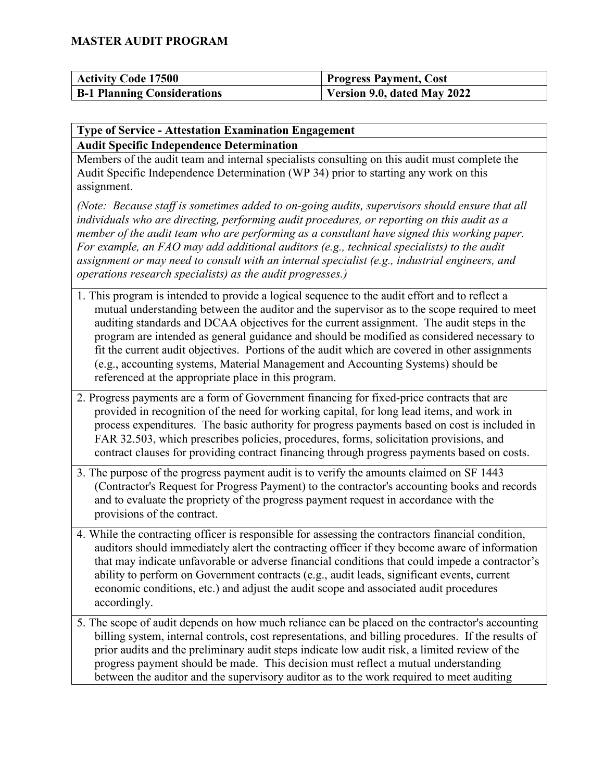| <b>Activity Code 17500</b>         | <b>Progress Payment, Cost</b> |
|------------------------------------|-------------------------------|
| <b>B-1 Planning Considerations</b> | Version 9.0, dated May 2022   |

#### **Type of Service - Attestation Examination Engagement Audit Specific Independence Determination**

Members of the audit team and internal specialists consulting on this audit must complete the Audit Specific Independence Determination (WP 34) prior to starting any work on this assignment.

*(Note: Because staff is sometimes added to on-going audits, supervisors should ensure that all individuals who are directing, performing audit procedures, or reporting on this audit as a member of the audit team who are performing as a consultant have signed this working paper. For example, an FAO may add additional auditors (e.g., technical specialists) to the audit assignment or may need to consult with an internal specialist (e.g., industrial engineers, and operations research specialists) as the audit progresses.)*

- 1. This program is intended to provide a logical sequence to the audit effort and to reflect a mutual understanding between the auditor and the supervisor as to the scope required to meet auditing standards and DCAA objectives for the current assignment. The audit steps in the program are intended as general guidance and should be modified as considered necessary to fit the current audit objectives. Portions of the audit which are covered in other assignments (e.g., accounting systems, Material Management and Accounting Systems) should be referenced at the appropriate place in this program.
- 2. Progress payments are a form of Government financing for fixed-price contracts that are provided in recognition of the need for working capital, for long lead items, and work in process expenditures. The basic authority for progress payments based on cost is included in FAR 32.503, which prescribes policies, procedures, forms, solicitation provisions, and contract clauses for providing contract financing through progress payments based on costs.
- 3. The purpose of the progress payment audit is to verify the amounts claimed on SF 1443 (Contractor's Request for Progress Payment) to the contractor's accounting books and records and to evaluate the propriety of the progress payment request in accordance with the provisions of the contract.
- 4. While the contracting officer is responsible for assessing the contractors financial condition, auditors should immediately alert the contracting officer if they become aware of information that may indicate unfavorable or adverse financial conditions that could impede a contractor's ability to perform on Government contracts (e.g., audit leads, significant events, current economic conditions, etc.) and adjust the audit scope and associated audit procedures accordingly.
- 5. The scope of audit depends on how much reliance can be placed on the contractor's accounting billing system, internal controls, cost representations, and billing procedures. If the results of prior audits and the preliminary audit steps indicate low audit risk, a limited review of the progress payment should be made. This decision must reflect a mutual understanding between the auditor and the supervisory auditor as to the work required to meet auditing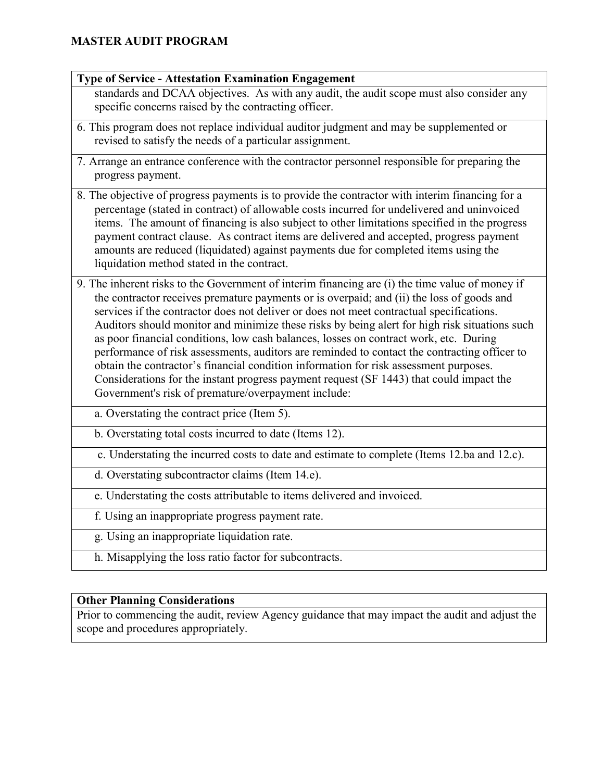#### **Type of Service - Attestation Examination Engagement**

standards and DCAA objectives. As with any audit, the audit scope must also consider any specific concerns raised by the contracting officer.

- 6. This program does not replace individual auditor judgment and may be supplemented or revised to satisfy the needs of a particular assignment.
- 7. Arrange an entrance conference with the contractor personnel responsible for preparing the progress payment.
- 8. The objective of progress payments is to provide the contractor with interim financing for a percentage (stated in contract) of allowable costs incurred for undelivered and uninvoiced items. The amount of financing is also subject to other limitations specified in the progress payment contract clause. As contract items are delivered and accepted, progress payment amounts are reduced (liquidated) against payments due for completed items using the liquidation method stated in the contract.
- 9. The inherent risks to the Government of interim financing are (i) the time value of money if the contractor receives premature payments or is overpaid; and (ii) the loss of goods and services if the contractor does not deliver or does not meet contractual specifications. Auditors should monitor and minimize these risks by being alert for high risk situations such as poor financial conditions, low cash balances, losses on contract work, etc. During performance of risk assessments, auditors are reminded to contact the contracting officer to obtain the contractor's financial condition information for risk assessment purposes. Considerations for the instant progress payment request (SF 1443) that could impact the Government's risk of premature/overpayment include:
	- a. Overstating the contract price (Item 5).
	- b. Overstating total costs incurred to date (Items 12).
	- c. Understating the incurred costs to date and estimate to complete (Items 12.ba and 12.c).
	- d. Overstating subcontractor claims (Item 14.e).
	- e. Understating the costs attributable to items delivered and invoiced.
	- f. Using an inappropriate progress payment rate.
	- g. Using an inappropriate liquidation rate.
	- h. Misapplying the loss ratio factor for subcontracts.

### **Other Planning Considerations**

Prior to commencing the audit, review Agency guidance that may impact the audit and adjust the scope and procedures appropriately.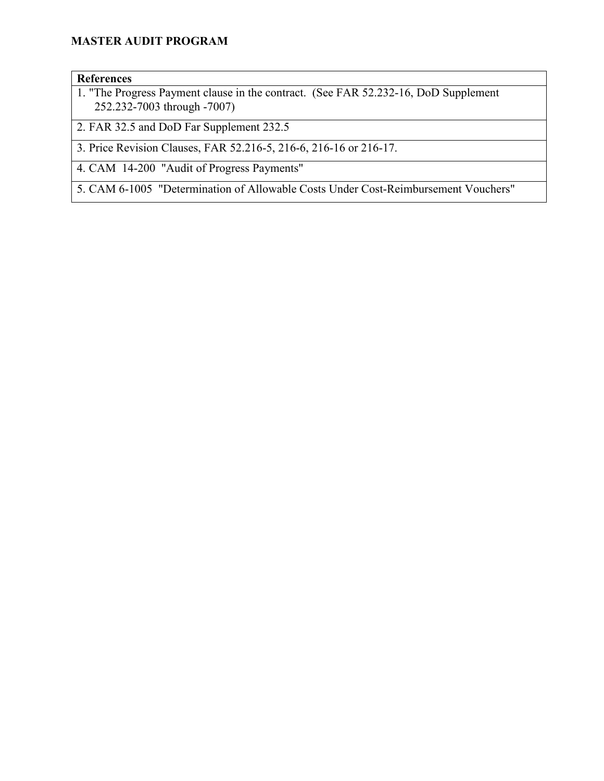#### **References**

1. "The Progress Payment clause in the contract. (See FAR 52.232-16, DoD Supplement 252.232-7003 through -7007)

2. FAR 32.5 and DoD Far Supplement 232.5

3. Price Revision Clauses, FAR 52.216-5, 216-6, 216-16 or 216-17.

4. CAM 14-200 "Audit of Progress Payments"

5. CAM 6-1005 "Determination of Allowable Costs Under Cost-Reimbursement Vouchers"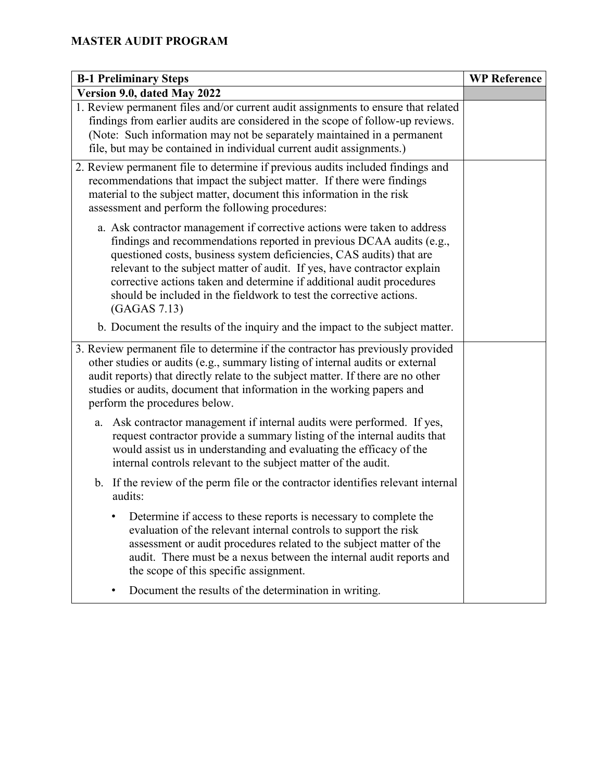| <b>B-1 Preliminary Steps</b>                                                                                                                                                                                                                                                                                                                                                                                                                                         | <b>WP Reference</b> |
|----------------------------------------------------------------------------------------------------------------------------------------------------------------------------------------------------------------------------------------------------------------------------------------------------------------------------------------------------------------------------------------------------------------------------------------------------------------------|---------------------|
| Version 9.0, dated May 2022                                                                                                                                                                                                                                                                                                                                                                                                                                          |                     |
| 1. Review permanent files and/or current audit assignments to ensure that related<br>findings from earlier audits are considered in the scope of follow-up reviews.<br>(Note: Such information may not be separately maintained in a permanent<br>file, but may be contained in individual current audit assignments.)                                                                                                                                               |                     |
| 2. Review permanent file to determine if previous audits included findings and<br>recommendations that impact the subject matter. If there were findings<br>material to the subject matter, document this information in the risk<br>assessment and perform the following procedures:                                                                                                                                                                                |                     |
| a. Ask contractor management if corrective actions were taken to address<br>findings and recommendations reported in previous DCAA audits (e.g.,<br>questioned costs, business system deficiencies, CAS audits) that are<br>relevant to the subject matter of audit. If yes, have contractor explain<br>corrective actions taken and determine if additional audit procedures<br>should be included in the fieldwork to test the corrective actions.<br>(GAGAS 7.13) |                     |
| b. Document the results of the inquiry and the impact to the subject matter.                                                                                                                                                                                                                                                                                                                                                                                         |                     |
| 3. Review permanent file to determine if the contractor has previously provided<br>other studies or audits (e.g., summary listing of internal audits or external<br>audit reports) that directly relate to the subject matter. If there are no other<br>studies or audits, document that information in the working papers and<br>perform the procedures below.                                                                                                      |                     |
| a. Ask contractor management if internal audits were performed. If yes,<br>request contractor provide a summary listing of the internal audits that<br>would assist us in understanding and evaluating the efficacy of the<br>internal controls relevant to the subject matter of the audit.                                                                                                                                                                         |                     |
| b. If the review of the perm file or the contractor identifies relevant internal<br>audits:                                                                                                                                                                                                                                                                                                                                                                          |                     |
| Determine if access to these reports is necessary to complete the<br>evaluation of the relevant internal controls to support the risk<br>assessment or audit procedures related to the subject matter of the<br>audit. There must be a nexus between the internal audit reports and<br>the scope of this specific assignment.                                                                                                                                        |                     |
| Document the results of the determination in writing.                                                                                                                                                                                                                                                                                                                                                                                                                |                     |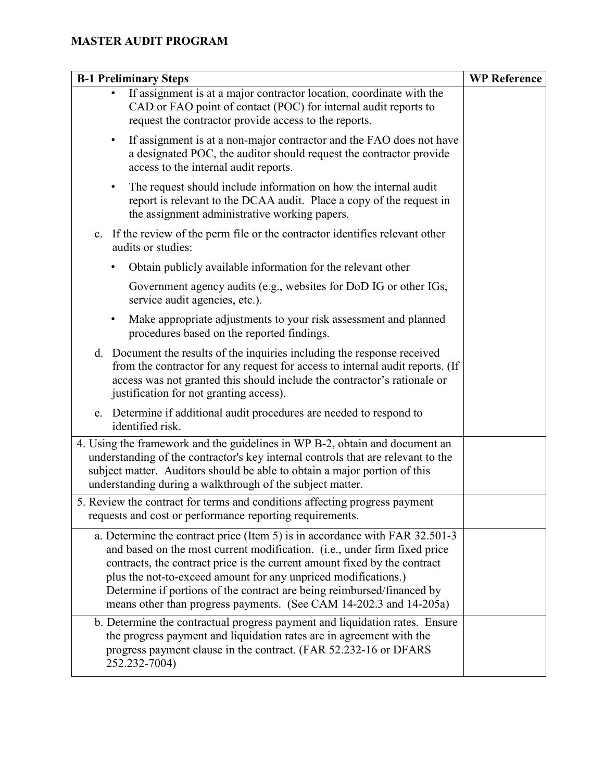| <b>B-1 Preliminary Steps</b>                                                                                                                                                                                                                                                                                                                                                                                                                            | <b>WP Reference</b> |
|---------------------------------------------------------------------------------------------------------------------------------------------------------------------------------------------------------------------------------------------------------------------------------------------------------------------------------------------------------------------------------------------------------------------------------------------------------|---------------------|
| If assignment is at a major contractor location, coordinate with the<br>CAD or FAO point of contact (POC) for internal audit reports to<br>request the contractor provide access to the reports.                                                                                                                                                                                                                                                        |                     |
| If assignment is at a non-major contractor and the FAO does not have<br>٠<br>a designated POC, the auditor should request the contractor provide<br>access to the internal audit reports.                                                                                                                                                                                                                                                               |                     |
| The request should include information on how the internal audit<br>٠<br>report is relevant to the DCAA audit. Place a copy of the request in<br>the assignment administrative working papers.                                                                                                                                                                                                                                                          |                     |
| c. If the review of the perm file or the contractor identifies relevant other<br>audits or studies:                                                                                                                                                                                                                                                                                                                                                     |                     |
| Obtain publicly available information for the relevant other                                                                                                                                                                                                                                                                                                                                                                                            |                     |
| Government agency audits (e.g., websites for DoD IG or other IGs,<br>service audit agencies, etc.).                                                                                                                                                                                                                                                                                                                                                     |                     |
| Make appropriate adjustments to your risk assessment and planned<br>٠<br>procedures based on the reported findings.                                                                                                                                                                                                                                                                                                                                     |                     |
| d. Document the results of the inquiries including the response received<br>from the contractor for any request for access to internal audit reports. (If<br>access was not granted this should include the contractor's rationale or<br>justification for not granting access).                                                                                                                                                                        |                     |
| e. Determine if additional audit procedures are needed to respond to<br>identified risk.                                                                                                                                                                                                                                                                                                                                                                |                     |
| 4. Using the framework and the guidelines in WP B-2, obtain and document an<br>understanding of the contractor's key internal controls that are relevant to the<br>subject matter. Auditors should be able to obtain a major portion of this<br>understanding during a walkthrough of the subject matter.                                                                                                                                               |                     |
| 5. Review the contract for terms and conditions affecting progress payment<br>requests and cost or performance reporting requirements.                                                                                                                                                                                                                                                                                                                  |                     |
| a. Determine the contract price (Item 5) is in accordance with FAR 32.501-3<br>and based on the most current modification. (i.e., under firm fixed price<br>contracts, the contract price is the current amount fixed by the contract<br>plus the not-to-exceed amount for any unpriced modifications.)<br>Determine if portions of the contract are being reimbursed/financed by<br>means other than progress payments. (See CAM 14-202.3 and 14-205a) |                     |
| b. Determine the contractual progress payment and liquidation rates. Ensure<br>the progress payment and liquidation rates are in agreement with the<br>progress payment clause in the contract. (FAR 52.232-16 or DFARS<br>252.232-7004)                                                                                                                                                                                                                |                     |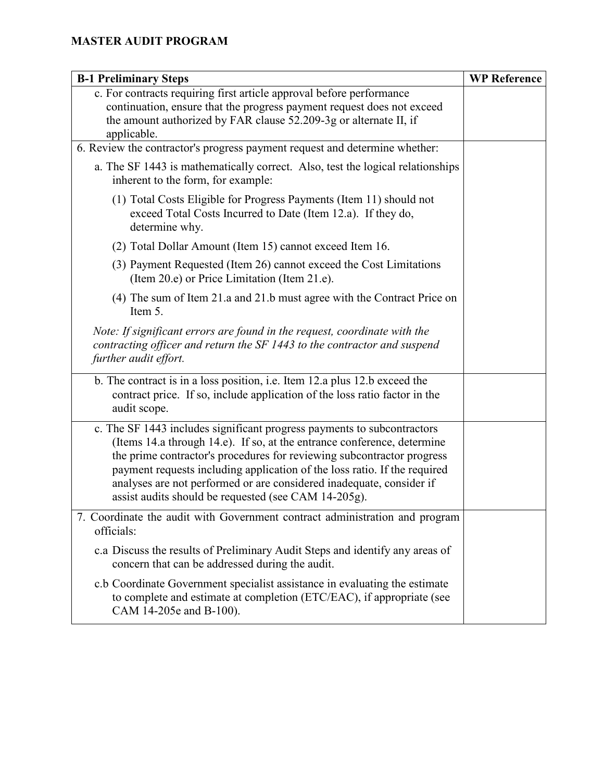| <b>B-1 Preliminary Steps</b>                                                                                                                                                                                                                                                                                                                                                                                                              | <b>WP Reference</b> |
|-------------------------------------------------------------------------------------------------------------------------------------------------------------------------------------------------------------------------------------------------------------------------------------------------------------------------------------------------------------------------------------------------------------------------------------------|---------------------|
| c. For contracts requiring first article approval before performance<br>continuation, ensure that the progress payment request does not exceed<br>the amount authorized by FAR clause 52.209-3g or alternate II, if<br>applicable.                                                                                                                                                                                                        |                     |
| 6. Review the contractor's progress payment request and determine whether:                                                                                                                                                                                                                                                                                                                                                                |                     |
| a. The SF 1443 is mathematically correct. Also, test the logical relationships<br>inherent to the form, for example:                                                                                                                                                                                                                                                                                                                      |                     |
| (1) Total Costs Eligible for Progress Payments (Item 11) should not<br>exceed Total Costs Incurred to Date (Item 12.a). If they do,<br>determine why.                                                                                                                                                                                                                                                                                     |                     |
| (2) Total Dollar Amount (Item 15) cannot exceed Item 16.                                                                                                                                                                                                                                                                                                                                                                                  |                     |
| (3) Payment Requested (Item 26) cannot exceed the Cost Limitations<br>(Item 20.e) or Price Limitation (Item 21.e).                                                                                                                                                                                                                                                                                                                        |                     |
| (4) The sum of Item 21.a and 21.b must agree with the Contract Price on<br>Item 5.                                                                                                                                                                                                                                                                                                                                                        |                     |
| Note: If significant errors are found in the request, coordinate with the<br>contracting officer and return the SF 1443 to the contractor and suspend<br>further audit effort.                                                                                                                                                                                                                                                            |                     |
| b. The contract is in a loss position, i.e. Item 12.a plus 12.b exceed the<br>contract price. If so, include application of the loss ratio factor in the<br>audit scope.                                                                                                                                                                                                                                                                  |                     |
| c. The SF 1443 includes significant progress payments to subcontractors<br>(Items 14.a through 14.e). If so, at the entrance conference, determine<br>the prime contractor's procedures for reviewing subcontractor progress<br>payment requests including application of the loss ratio. If the required<br>analyses are not performed or are considered inadequate, consider if<br>assist audits should be requested (see CAM 14-205g). |                     |
| 7. Coordinate the audit with Government contract administration and program<br>officials:                                                                                                                                                                                                                                                                                                                                                 |                     |
| c.a Discuss the results of Preliminary Audit Steps and identify any areas of<br>concern that can be addressed during the audit.                                                                                                                                                                                                                                                                                                           |                     |
| c.b Coordinate Government specialist assistance in evaluating the estimate<br>to complete and estimate at completion (ETC/EAC), if appropriate (see<br>CAM 14-205e and B-100).                                                                                                                                                                                                                                                            |                     |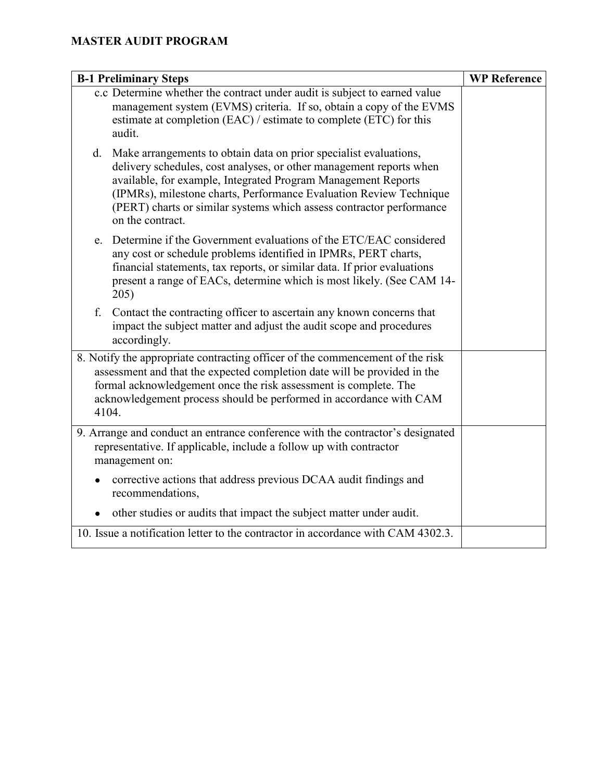| <b>B-1 Preliminary Steps</b>                                                                                                                                                                                                                                                                                                                                                      | <b>WP Reference</b> |
|-----------------------------------------------------------------------------------------------------------------------------------------------------------------------------------------------------------------------------------------------------------------------------------------------------------------------------------------------------------------------------------|---------------------|
| c.c Determine whether the contract under audit is subject to earned value<br>management system (EVMS) criteria. If so, obtain a copy of the EVMS<br>estimate at completion (EAC) / estimate to complete (ETC) for this<br>audit.                                                                                                                                                  |                     |
| Make arrangements to obtain data on prior specialist evaluations,<br>d.<br>delivery schedules, cost analyses, or other management reports when<br>available, for example, Integrated Program Management Reports<br>(IPMRs), milestone charts, Performance Evaluation Review Technique<br>(PERT) charts or similar systems which assess contractor performance<br>on the contract. |                     |
| Determine if the Government evaluations of the ETC/EAC considered<br>e.<br>any cost or schedule problems identified in IPMRs, PERT charts,<br>financial statements, tax reports, or similar data. If prior evaluations<br>present a range of EACs, determine which is most likely. (See CAM 14-<br>205)                                                                           |                     |
| f.<br>Contact the contracting officer to ascertain any known concerns that<br>impact the subject matter and adjust the audit scope and procedures<br>accordingly.                                                                                                                                                                                                                 |                     |
| 8. Notify the appropriate contracting officer of the commencement of the risk<br>assessment and that the expected completion date will be provided in the<br>formal acknowledgement once the risk assessment is complete. The<br>acknowledgement process should be performed in accordance with CAM<br>4104.                                                                      |                     |
| 9. Arrange and conduct an entrance conference with the contractor's designated<br>representative. If applicable, include a follow up with contractor<br>management on:                                                                                                                                                                                                            |                     |
| corrective actions that address previous DCAA audit findings and<br>$\bullet$<br>recommendations,                                                                                                                                                                                                                                                                                 |                     |
| other studies or audits that impact the subject matter under audit.                                                                                                                                                                                                                                                                                                               |                     |
| 10. Issue a notification letter to the contractor in accordance with CAM 4302.3.                                                                                                                                                                                                                                                                                                  |                     |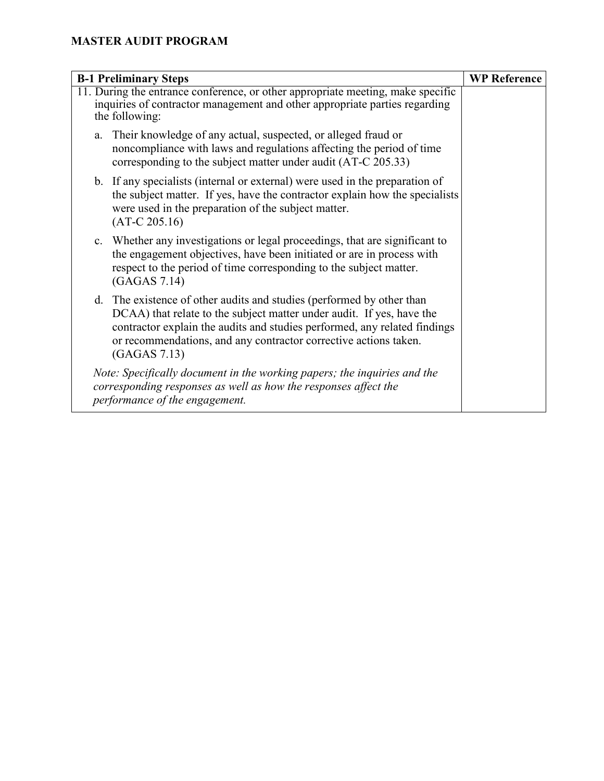| <b>B-1 Preliminary Steps</b>                                                                                                                                                                                                                                                                                    | <b>WP Reference</b> |
|-----------------------------------------------------------------------------------------------------------------------------------------------------------------------------------------------------------------------------------------------------------------------------------------------------------------|---------------------|
| 11. During the entrance conference, or other appropriate meeting, make specific<br>inquiries of contractor management and other appropriate parties regarding<br>the following:                                                                                                                                 |                     |
| Their knowledge of any actual, suspected, or alleged fraud or<br>a.<br>noncompliance with laws and regulations affecting the period of time<br>corresponding to the subject matter under audit (AT-C 205.33)                                                                                                    |                     |
| b. If any specialists (internal or external) were used in the preparation of<br>the subject matter. If yes, have the contractor explain how the specialists<br>were used in the preparation of the subject matter.<br>$(AT-C 205.16)$                                                                           |                     |
| c. Whether any investigations or legal proceedings, that are significant to<br>the engagement objectives, have been initiated or are in process with<br>respect to the period of time corresponding to the subject matter.<br>(GAGAS 7.14)                                                                      |                     |
| d. The existence of other audits and studies (performed by other than<br>DCAA) that relate to the subject matter under audit. If yes, have the<br>contractor explain the audits and studies performed, any related findings<br>or recommendations, and any contractor corrective actions taken.<br>(GAGAS 7.13) |                     |
| Note: Specifically document in the working papers; the inquiries and the<br>corresponding responses as well as how the responses affect the<br>performance of the engagement.                                                                                                                                   |                     |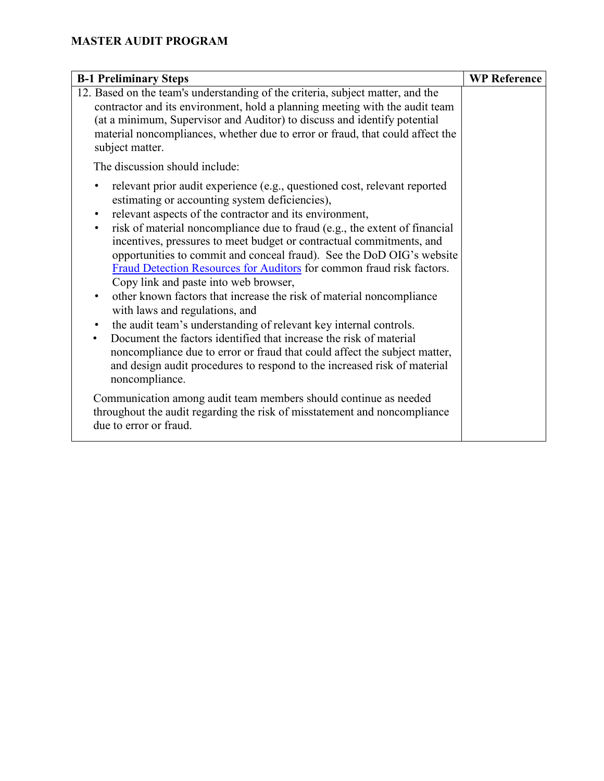| <b>B-1 Preliminary Steps</b>                                                                                                                                                                                                                                                                                                                                                                                                                                                                                                                                                                                                                                                                                                                                                                                                                                                                                                                                                                                                                  | <b>WP Reference</b> |
|-----------------------------------------------------------------------------------------------------------------------------------------------------------------------------------------------------------------------------------------------------------------------------------------------------------------------------------------------------------------------------------------------------------------------------------------------------------------------------------------------------------------------------------------------------------------------------------------------------------------------------------------------------------------------------------------------------------------------------------------------------------------------------------------------------------------------------------------------------------------------------------------------------------------------------------------------------------------------------------------------------------------------------------------------|---------------------|
| 12. Based on the team's understanding of the criteria, subject matter, and the<br>contractor and its environment, hold a planning meeting with the audit team<br>(at a minimum, Supervisor and Auditor) to discuss and identify potential<br>material noncompliances, whether due to error or fraud, that could affect the<br>subject matter.                                                                                                                                                                                                                                                                                                                                                                                                                                                                                                                                                                                                                                                                                                 |                     |
| The discussion should include:                                                                                                                                                                                                                                                                                                                                                                                                                                                                                                                                                                                                                                                                                                                                                                                                                                                                                                                                                                                                                |                     |
| relevant prior audit experience (e.g., questioned cost, relevant reported<br>٠<br>estimating or accounting system deficiencies),<br>relevant aspects of the contractor and its environment,<br>$\bullet$<br>risk of material noncompliance due to fraud (e.g., the extent of financial<br>$\bullet$<br>incentives, pressures to meet budget or contractual commitments, and<br>opportunities to commit and conceal fraud). See the DoD OIG's website<br>Fraud Detection Resources for Auditors for common fraud risk factors.<br>Copy link and paste into web browser,<br>other known factors that increase the risk of material noncompliance<br>$\bullet$<br>with laws and regulations, and<br>the audit team's understanding of relevant key internal controls.<br>$\bullet$<br>Document the factors identified that increase the risk of material<br>$\bullet$<br>noncompliance due to error or fraud that could affect the subject matter,<br>and design audit procedures to respond to the increased risk of material<br>noncompliance. |                     |
| Communication among audit team members should continue as needed<br>throughout the audit regarding the risk of misstatement and noncompliance<br>due to error or fraud.                                                                                                                                                                                                                                                                                                                                                                                                                                                                                                                                                                                                                                                                                                                                                                                                                                                                       |                     |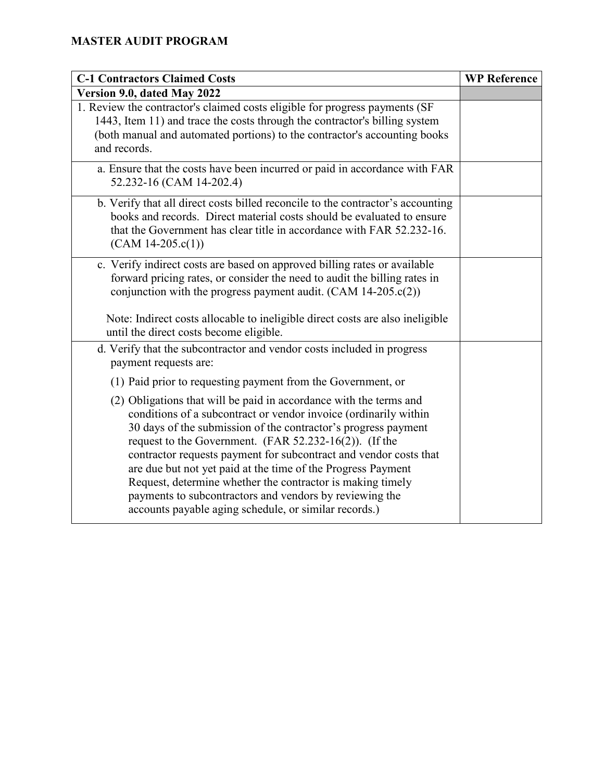| <b>C-1 Contractors Claimed Costs</b>                                                                                                                                                                                                                                                                                                                                                                                                                                                                                                                                                         | <b>WP Reference</b> |
|----------------------------------------------------------------------------------------------------------------------------------------------------------------------------------------------------------------------------------------------------------------------------------------------------------------------------------------------------------------------------------------------------------------------------------------------------------------------------------------------------------------------------------------------------------------------------------------------|---------------------|
| Version 9.0, dated May 2022                                                                                                                                                                                                                                                                                                                                                                                                                                                                                                                                                                  |                     |
| 1. Review the contractor's claimed costs eligible for progress payments (SF<br>1443, Item 11) and trace the costs through the contractor's billing system<br>(both manual and automated portions) to the contractor's accounting books<br>and records.                                                                                                                                                                                                                                                                                                                                       |                     |
| a. Ensure that the costs have been incurred or paid in accordance with FAR<br>52.232-16 (CAM 14-202.4)                                                                                                                                                                                                                                                                                                                                                                                                                                                                                       |                     |
| b. Verify that all direct costs billed reconcile to the contractor's accounting<br>books and records. Direct material costs should be evaluated to ensure<br>that the Government has clear title in accordance with FAR 52.232-16.<br>$(CAM 14-205.c(1))$                                                                                                                                                                                                                                                                                                                                    |                     |
| c. Verify indirect costs are based on approved billing rates or available<br>forward pricing rates, or consider the need to audit the billing rates in<br>conjunction with the progress payment audit. $(CAM 14-205.c(2))$<br>Note: Indirect costs allocable to ineligible direct costs are also ineligible<br>until the direct costs become eligible.                                                                                                                                                                                                                                       |                     |
| d. Verify that the subcontractor and vendor costs included in progress<br>payment requests are:                                                                                                                                                                                                                                                                                                                                                                                                                                                                                              |                     |
| (1) Paid prior to requesting payment from the Government, or                                                                                                                                                                                                                                                                                                                                                                                                                                                                                                                                 |                     |
| (2) Obligations that will be paid in accordance with the terms and<br>conditions of a subcontract or vendor invoice (ordinarily within<br>30 days of the submission of the contractor's progress payment<br>request to the Government. (FAR $52.232-16(2)$ ). (If the<br>contractor requests payment for subcontract and vendor costs that<br>are due but not yet paid at the time of the Progress Payment<br>Request, determine whether the contractor is making timely<br>payments to subcontractors and vendors by reviewing the<br>accounts payable aging schedule, or similar records.) |                     |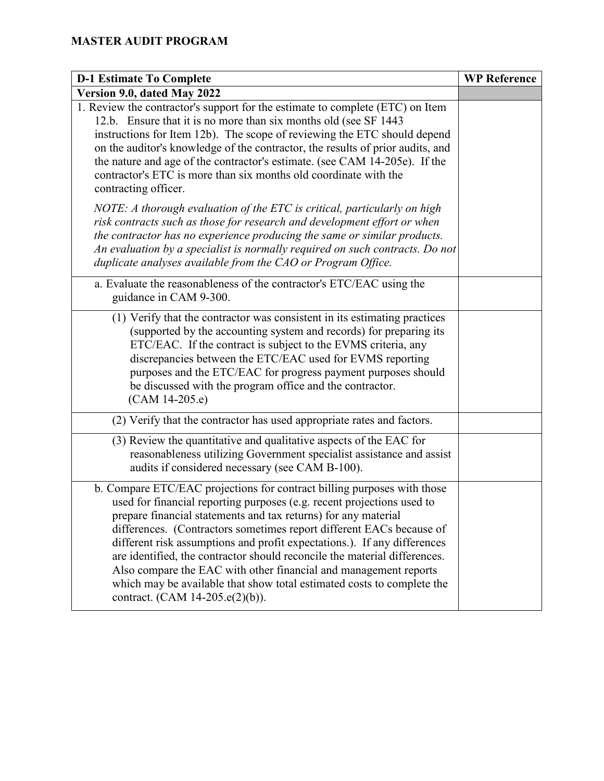| <b>D-1 Estimate To Complete</b>                                                                                                                                                                                                                                                                                                                                                                                                                                                                                                                                                                                                       | <b>WP Reference</b> |
|---------------------------------------------------------------------------------------------------------------------------------------------------------------------------------------------------------------------------------------------------------------------------------------------------------------------------------------------------------------------------------------------------------------------------------------------------------------------------------------------------------------------------------------------------------------------------------------------------------------------------------------|---------------------|
| Version 9.0, dated May 2022                                                                                                                                                                                                                                                                                                                                                                                                                                                                                                                                                                                                           |                     |
| 1. Review the contractor's support for the estimate to complete (ETC) on Item<br>12.b. Ensure that it is no more than six months old (see SF 1443)<br>instructions for Item 12b). The scope of reviewing the ETC should depend<br>on the auditor's knowledge of the contractor, the results of prior audits, and<br>the nature and age of the contractor's estimate. (see CAM 14-205e). If the<br>contractor's ETC is more than six months old coordinate with the<br>contracting officer.                                                                                                                                            |                     |
| NOTE: A thorough evaluation of the ETC is critical, particularly on high<br>risk contracts such as those for research and development effort or when<br>the contractor has no experience producing the same or similar products.<br>An evaluation by a specialist is normally required on such contracts. Do not<br>duplicate analyses available from the CAO or Program Office.                                                                                                                                                                                                                                                      |                     |
| a. Evaluate the reasonableness of the contractor's ETC/EAC using the<br>guidance in CAM 9-300.                                                                                                                                                                                                                                                                                                                                                                                                                                                                                                                                        |                     |
| (1) Verify that the contractor was consistent in its estimating practices<br>(supported by the accounting system and records) for preparing its<br>ETC/EAC. If the contract is subject to the EVMS criteria, any<br>discrepancies between the ETC/EAC used for EVMS reporting<br>purposes and the ETC/EAC for progress payment purposes should<br>be discussed with the program office and the contractor.<br>$(CAM 14-205.e)$                                                                                                                                                                                                        |                     |
| (2) Verify that the contractor has used appropriate rates and factors.                                                                                                                                                                                                                                                                                                                                                                                                                                                                                                                                                                |                     |
| (3) Review the quantitative and qualitative aspects of the EAC for<br>reasonableness utilizing Government specialist assistance and assist<br>audits if considered necessary (see CAM B-100).                                                                                                                                                                                                                                                                                                                                                                                                                                         |                     |
| b. Compare ETC/EAC projections for contract billing purposes with those<br>used for financial reporting purposes (e.g. recent projections used to<br>prepare financial statements and tax returns) for any material<br>differences. (Contractors sometimes report different EACs because of<br>different risk assumptions and profit expectations.). If any differences<br>are identified, the contractor should reconcile the material differences.<br>Also compare the EAC with other financial and management reports<br>which may be available that show total estimated costs to complete the<br>contract. (CAM 14-205.e(2)(b)). |                     |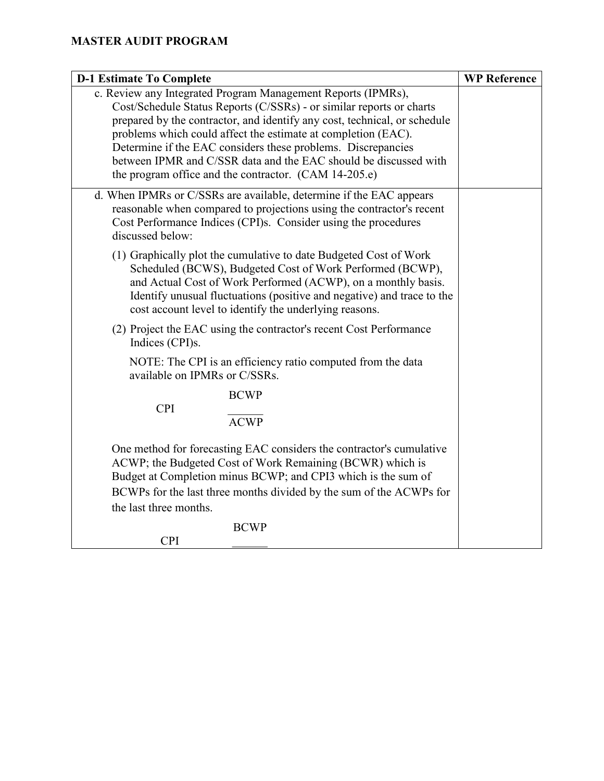| <b>D-1 Estimate To Complete</b>                                                                                                                                                                                                                                                                                                                                                                                                                                                 | <b>WP Reference</b> |
|---------------------------------------------------------------------------------------------------------------------------------------------------------------------------------------------------------------------------------------------------------------------------------------------------------------------------------------------------------------------------------------------------------------------------------------------------------------------------------|---------------------|
| c. Review any Integrated Program Management Reports (IPMRs),<br>Cost/Schedule Status Reports (C/SSRs) - or similar reports or charts<br>prepared by the contractor, and identify any cost, technical, or schedule<br>problems which could affect the estimate at completion (EAC).<br>Determine if the EAC considers these problems. Discrepancies<br>between IPMR and C/SSR data and the EAC should be discussed with<br>the program office and the contractor. (CAM 14-205.e) |                     |
| d. When IPMRs or C/SSRs are available, determine if the EAC appears<br>reasonable when compared to projections using the contractor's recent<br>Cost Performance Indices (CPI)s. Consider using the procedures<br>discussed below:                                                                                                                                                                                                                                              |                     |
| (1) Graphically plot the cumulative to date Budgeted Cost of Work<br>Scheduled (BCWS), Budgeted Cost of Work Performed (BCWP),<br>and Actual Cost of Work Performed (ACWP), on a monthly basis.<br>Identify unusual fluctuations (positive and negative) and trace to the<br>cost account level to identify the underlying reasons.                                                                                                                                             |                     |
| (2) Project the EAC using the contractor's recent Cost Performance<br>Indices (CPI)s.                                                                                                                                                                                                                                                                                                                                                                                           |                     |
| NOTE: The CPI is an efficiency ratio computed from the data<br>available on IPMRs or C/SSRs.                                                                                                                                                                                                                                                                                                                                                                                    |                     |
| <b>BCWP</b>                                                                                                                                                                                                                                                                                                                                                                                                                                                                     |                     |
| <b>CPI</b><br><b>ACWP</b>                                                                                                                                                                                                                                                                                                                                                                                                                                                       |                     |
| One method for forecasting EAC considers the contractor's cumulative<br>ACWP; the Budgeted Cost of Work Remaining (BCWR) which is<br>Budget at Completion minus BCWP; and CPI3 which is the sum of<br>BCWPs for the last three months divided by the sum of the ACWPs for<br>the last three months.                                                                                                                                                                             |                     |
| <b>BCWP</b>                                                                                                                                                                                                                                                                                                                                                                                                                                                                     |                     |
| <b>CPI</b>                                                                                                                                                                                                                                                                                                                                                                                                                                                                      |                     |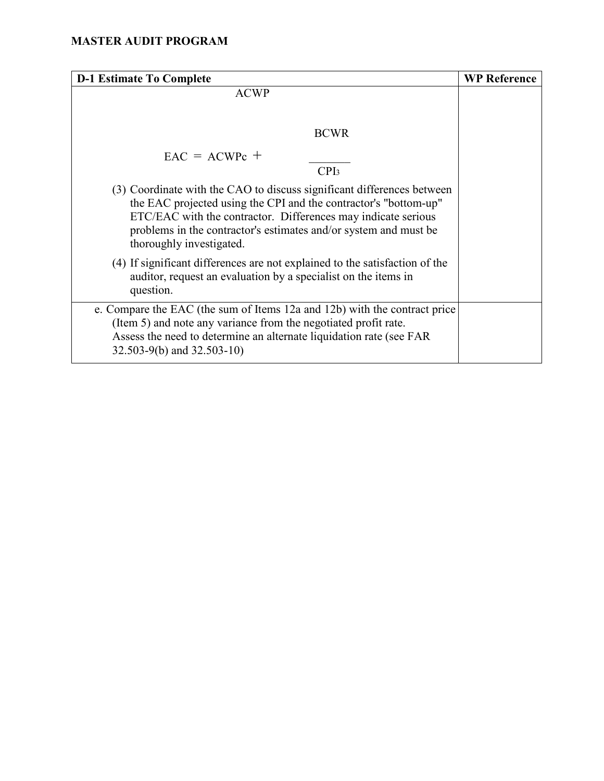| <b>D-1 Estimate To Complete</b>                                                                                                                                                                                                                                                                             | <b>WP Reference</b> |
|-------------------------------------------------------------------------------------------------------------------------------------------------------------------------------------------------------------------------------------------------------------------------------------------------------------|---------------------|
| <b>ACWP</b>                                                                                                                                                                                                                                                                                                 |                     |
| <b>BCWR</b>                                                                                                                                                                                                                                                                                                 |                     |
| $EAC = ACWPc +$                                                                                                                                                                                                                                                                                             |                     |
| CPI <sub>3</sub>                                                                                                                                                                                                                                                                                            |                     |
| (3) Coordinate with the CAO to discuss significant differences between<br>the EAC projected using the CPI and the contractor's "bottom-up"<br>ETC/EAC with the contractor. Differences may indicate serious<br>problems in the contractor's estimates and/or system and must be<br>thoroughly investigated. |                     |
| (4) If significant differences are not explained to the satisfaction of the<br>auditor, request an evaluation by a specialist on the items in<br>question.                                                                                                                                                  |                     |
| e. Compare the EAC (the sum of Items 12a and 12b) with the contract price<br>(Item 5) and note any variance from the negotiated profit rate.<br>Assess the need to determine an alternate liquidation rate (see FAR<br>32.503-9(b) and 32.503-10)                                                           |                     |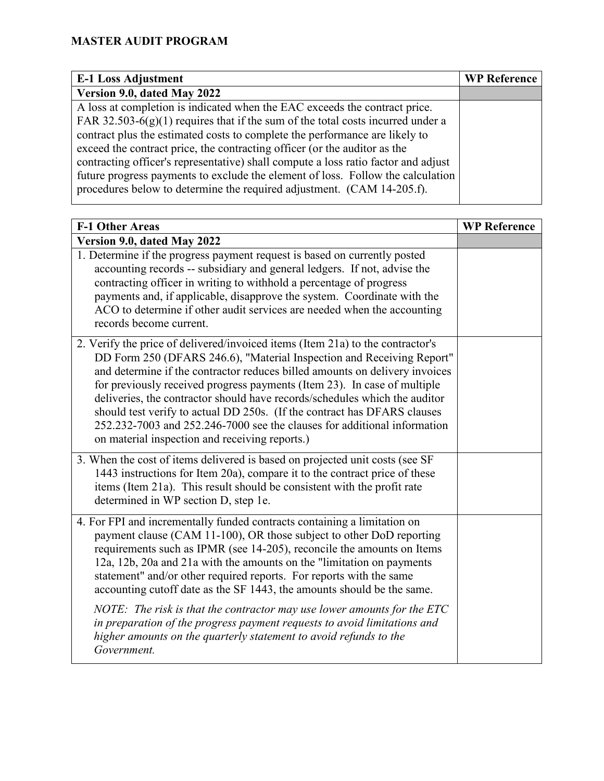| <b>E-1 Loss Adjustment</b>                                                         | <b>WP Reference</b> |
|------------------------------------------------------------------------------------|---------------------|
| Version 9.0, dated May 2022                                                        |                     |
| A loss at completion is indicated when the EAC exceeds the contract price.         |                     |
| FAR 32.503-6(g)(1) requires that if the sum of the total costs incurred under a    |                     |
| contract plus the estimated costs to complete the performance are likely to        |                     |
| exceed the contract price, the contracting officer (or the auditor as the          |                     |
| contracting officer's representative) shall compute a loss ratio factor and adjust |                     |
| future progress payments to exclude the element of loss. Follow the calculation    |                     |
| procedures below to determine the required adjustment. (CAM 14-205.f).             |                     |
|                                                                                    |                     |

| <b>F-1 Other Areas</b>                                                                                                                                                                                                                                                                                                                                                                                                                                                                                                                                                                                       | <b>WP Reference</b> |
|--------------------------------------------------------------------------------------------------------------------------------------------------------------------------------------------------------------------------------------------------------------------------------------------------------------------------------------------------------------------------------------------------------------------------------------------------------------------------------------------------------------------------------------------------------------------------------------------------------------|---------------------|
| Version 9.0, dated May 2022                                                                                                                                                                                                                                                                                                                                                                                                                                                                                                                                                                                  |                     |
| 1. Determine if the progress payment request is based on currently posted<br>accounting records -- subsidiary and general ledgers. If not, advise the<br>contracting officer in writing to withhold a percentage of progress<br>payments and, if applicable, disapprove the system. Coordinate with the<br>ACO to determine if other audit services are needed when the accounting<br>records become current.                                                                                                                                                                                                |                     |
| 2. Verify the price of delivered/invoiced items (Item 21a) to the contractor's<br>DD Form 250 (DFARS 246.6), "Material Inspection and Receiving Report"<br>and determine if the contractor reduces billed amounts on delivery invoices<br>for previously received progress payments (Item 23). In case of multiple<br>deliveries, the contractor should have records/schedules which the auditor<br>should test verify to actual DD 250s. (If the contract has DFARS clauses<br>252.232-7003 and 252.246-7000 see the clauses for additional information<br>on material inspection and receiving reports.)   |                     |
| 3. When the cost of items delivered is based on projected unit costs (see SF<br>1443 instructions for Item 20a), compare it to the contract price of these<br>items (Item 21a). This result should be consistent with the profit rate<br>determined in WP section D, step 1e.                                                                                                                                                                                                                                                                                                                                |                     |
| 4. For FPI and incrementally funded contracts containing a limitation on<br>payment clause (CAM 11-100), OR those subject to other DoD reporting<br>requirements such as IPMR (see 14-205), reconcile the amounts on Items<br>12a, 12b, 20a and 21a with the amounts on the "limitation on payments"<br>statement" and/or other required reports. For reports with the same<br>accounting cutoff date as the SF 1443, the amounts should be the same.<br>NOTE: The risk is that the contractor may use lower amounts for the ETC<br>in preparation of the progress payment requests to avoid limitations and |                     |
| higher amounts on the quarterly statement to avoid refunds to the<br>Government.                                                                                                                                                                                                                                                                                                                                                                                                                                                                                                                             |                     |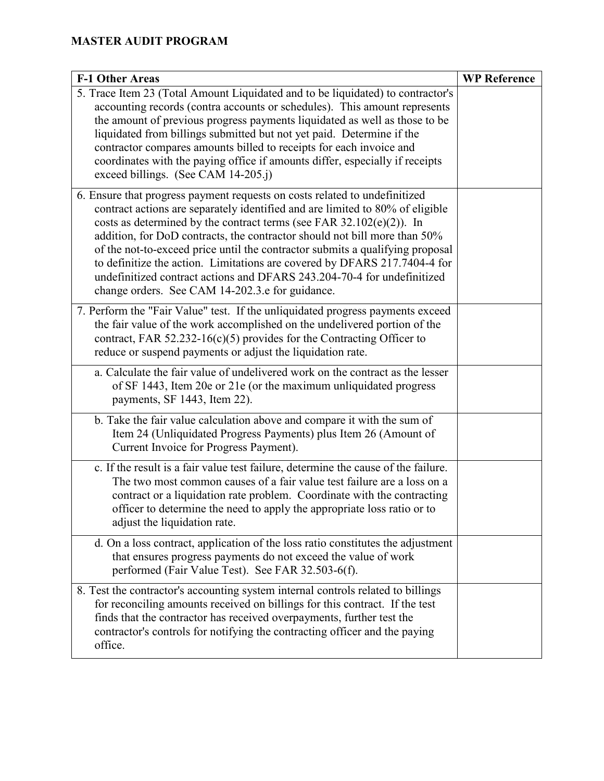| <b>F-1 Other Areas</b>                                                                                                                                                                                                                                                                                                                                                                                                                                                                                                                                                                                          | <b>WP Reference</b> |
|-----------------------------------------------------------------------------------------------------------------------------------------------------------------------------------------------------------------------------------------------------------------------------------------------------------------------------------------------------------------------------------------------------------------------------------------------------------------------------------------------------------------------------------------------------------------------------------------------------------------|---------------------|
| 5. Trace Item 23 (Total Amount Liquidated and to be liquidated) to contractor's<br>accounting records (contra accounts or schedules). This amount represents<br>the amount of previous progress payments liquidated as well as those to be<br>liquidated from billings submitted but not yet paid. Determine if the<br>contractor compares amounts billed to receipts for each invoice and<br>coordinates with the paying office if amounts differ, especially if receipts<br>exceed billings. (See CAM 14-205.j)                                                                                               |                     |
| 6. Ensure that progress payment requests on costs related to undefinitized<br>contract actions are separately identified and are limited to 80% of eligible<br>costs as determined by the contract terms (see FAR $32.102(e)(2)$ ). In<br>addition, for DoD contracts, the contractor should not bill more than 50%<br>of the not-to-exceed price until the contractor submits a qualifying proposal<br>to definitize the action. Limitations are covered by DFARS 217.7404-4 for<br>undefinitized contract actions and DFARS 243.204-70-4 for undefinitized<br>change orders. See CAM 14-202.3.e for guidance. |                     |
| 7. Perform the "Fair Value" test. If the unliquidated progress payments exceed<br>the fair value of the work accomplished on the undelivered portion of the<br>contract, FAR 52.232-16(c)(5) provides for the Contracting Officer to<br>reduce or suspend payments or adjust the liquidation rate.                                                                                                                                                                                                                                                                                                              |                     |
| a. Calculate the fair value of undelivered work on the contract as the lesser<br>of SF 1443, Item 20e or 21e (or the maximum unliquidated progress<br>payments, SF 1443, Item 22).                                                                                                                                                                                                                                                                                                                                                                                                                              |                     |
| b. Take the fair value calculation above and compare it with the sum of<br>Item 24 (Unliquidated Progress Payments) plus Item 26 (Amount of<br>Current Invoice for Progress Payment).                                                                                                                                                                                                                                                                                                                                                                                                                           |                     |
| c. If the result is a fair value test failure, determine the cause of the failure.<br>The two most common causes of a fair value test failure are a loss on a<br>contract or a liquidation rate problem. Coordinate with the contracting<br>officer to determine the need to apply the appropriate loss ratio or to<br>adjust the liquidation rate.                                                                                                                                                                                                                                                             |                     |
| d. On a loss contract, application of the loss ratio constitutes the adjustment<br>that ensures progress payments do not exceed the value of work<br>performed (Fair Value Test). See FAR 32.503-6(f).                                                                                                                                                                                                                                                                                                                                                                                                          |                     |
| 8. Test the contractor's accounting system internal controls related to billings<br>for reconciling amounts received on billings for this contract. If the test<br>finds that the contractor has received overpayments, further test the<br>contractor's controls for notifying the contracting officer and the paying<br>office.                                                                                                                                                                                                                                                                               |                     |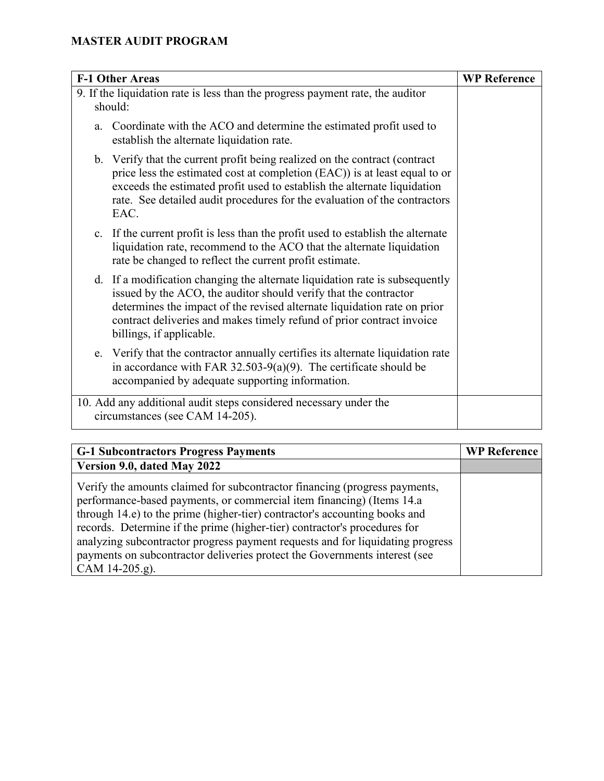|    | <b>F-1 Other Areas</b>                                                                                                                                                                                                                                                                                                            | <b>WP Reference</b> |
|----|-----------------------------------------------------------------------------------------------------------------------------------------------------------------------------------------------------------------------------------------------------------------------------------------------------------------------------------|---------------------|
|    | 9. If the liquidation rate is less than the progress payment rate, the auditor<br>should:                                                                                                                                                                                                                                         |                     |
| a. | Coordinate with the ACO and determine the estimated profit used to<br>establish the alternate liquidation rate.                                                                                                                                                                                                                   |                     |
|    | b. Verify that the current profit being realized on the contract (contract<br>price less the estimated cost at completion (EAC)) is at least equal to or<br>exceeds the estimated profit used to establish the alternate liquidation<br>rate. See detailed audit procedures for the evaluation of the contractors<br>EAC.         |                     |
|    | c. If the current profit is less than the profit used to establish the alternate<br>liquidation rate, recommend to the ACO that the alternate liquidation<br>rate be changed to reflect the current profit estimate.                                                                                                              |                     |
|    | d. If a modification changing the alternate liquidation rate is subsequently<br>issued by the ACO, the auditor should verify that the contractor<br>determines the impact of the revised alternate liquidation rate on prior<br>contract deliveries and makes timely refund of prior contract invoice<br>billings, if applicable. |                     |
|    | e. Verify that the contractor annually certifies its alternate liquidation rate<br>in accordance with FAR 32.503-9(a)(9). The certificate should be<br>accompanied by adequate supporting information.                                                                                                                            |                     |
|    | 10. Add any additional audit steps considered necessary under the<br>circumstances (see CAM 14-205).                                                                                                                                                                                                                              |                     |

| <b>G-1 Subcontractors Progress Payments</b>                                                                                                                                                                                                                                                                                                                                                                                                                                                      | <b>WP Reference</b> |
|--------------------------------------------------------------------------------------------------------------------------------------------------------------------------------------------------------------------------------------------------------------------------------------------------------------------------------------------------------------------------------------------------------------------------------------------------------------------------------------------------|---------------------|
| Version 9.0, dated May 2022                                                                                                                                                                                                                                                                                                                                                                                                                                                                      |                     |
| Verify the amounts claimed for subcontractor financing (progress payments,<br>performance-based payments, or commercial item financing) (Items 14.a<br>through 14.e) to the prime (higher-tier) contractor's accounting books and<br>records. Determine if the prime (higher-tier) contractor's procedures for<br>analyzing subcontractor progress payment requests and for liquidating progress<br>payments on subcontractor deliveries protect the Governments interest (see<br>CAM 14-205.g). |                     |